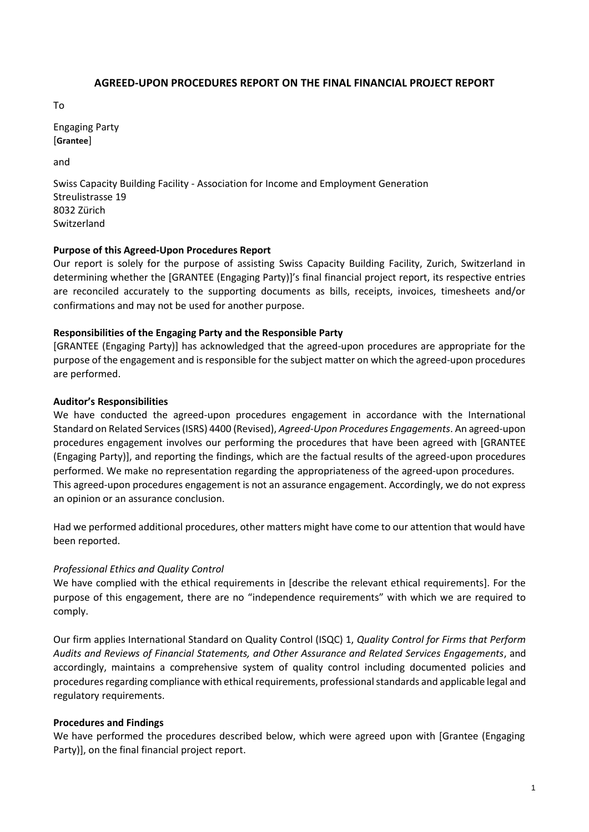## **AGREED-UPON PROCEDURES REPORT ON THE FINAL FINANCIAL PROJECT REPORT**

To

Engaging Party [**Grantee**]

and

Swiss Capacity Building Facility - Association for Income and Employment Generation Streulistrasse 19 8032 Zürich Switzerland

## **Purpose of this Agreed-Upon Procedures Report**

Our report is solely for the purpose of assisting Swiss Capacity Building Facility, Zurich, Switzerland in determining whether the [GRANTEE (Engaging Party)]'s final financial project report, its respective entries are reconciled accurately to the supporting documents as bills, receipts, invoices, timesheets and/or confirmations and may not be used for another purpose.

## **Responsibilities of the Engaging Party and the Responsible Party**

[GRANTEE (Engaging Party)] has acknowledged that the agreed-upon procedures are appropriate for the purpose of the engagement and is responsible for the subject matter on which the agreed-upon procedures are performed.

## **Auditor's Responsibilities**

We have conducted the agreed-upon procedures engagement in accordance with the International Standard on Related Services (ISRS) 4400 (Revised), *Agreed-Upon Procedures Engagements*. An agreed-upon procedures engagement involves our performing the procedures that have been agreed with [GRANTEE (Engaging Party)], and reporting the findings, which are the factual results of the agreed-upon procedures performed. We make no representation regarding the appropriateness of the agreed-upon procedures. This agreed-upon procedures engagement is not an assurance engagement. Accordingly, we do not express an opinion or an assurance conclusion.

Had we performed additional procedures, other matters might have come to our attention that would have been reported.

# *Professional Ethics and Quality Control*

We have complied with the ethical requirements in [describe the relevant ethical requirements]. For the purpose of this engagement, there are no "independence requirements" with which we are required to comply.

Our firm applies International Standard on Quality Control (ISQC) 1, *Quality Control for Firms that Perform Audits and Reviews of Financial Statements, and Other Assurance and Related Services Engagements*, and accordingly, maintains a comprehensive system of quality control including documented policies and procedures regarding compliance with ethical requirements, professional standards and applicable legal and regulatory requirements.

#### **Procedures and Findings**

We have performed the procedures described below, which were agreed upon with [Grantee (Engaging Party)], on the final financial project report.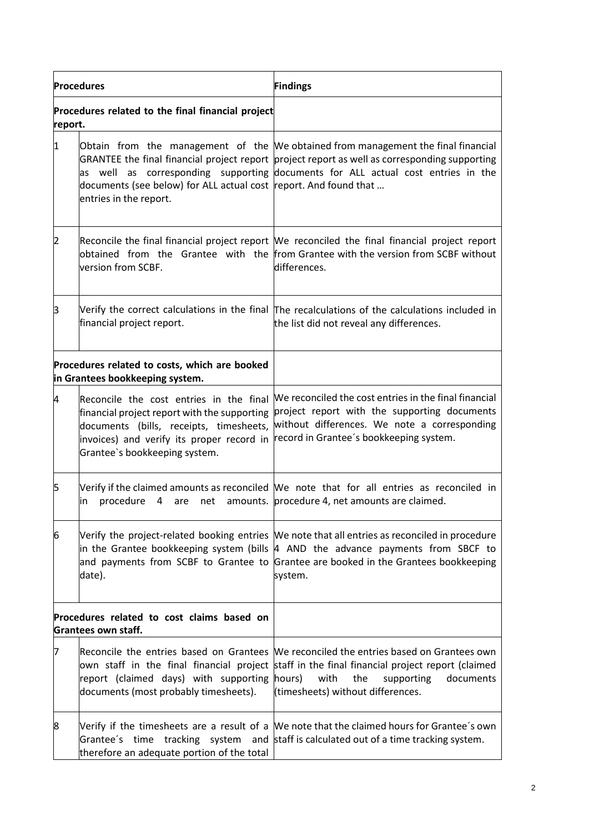| <b>Procedures</b> |                                                                                                                                                                                                                  | <b>Findings</b>                                                                                                                                                                                                                                                                        |
|-------------------|------------------------------------------------------------------------------------------------------------------------------------------------------------------------------------------------------------------|----------------------------------------------------------------------------------------------------------------------------------------------------------------------------------------------------------------------------------------------------------------------------------------|
| report.           | Procedures related to the final financial project                                                                                                                                                                |                                                                                                                                                                                                                                                                                        |
| 1                 | documents (see below) for ALL actual cost report. And found that<br>entries in the report.                                                                                                                       | Obtain from the management of the We obtained from management the final financial<br>GRANTEE the final financial project report project report as well as corresponding supporting<br>as well as corresponding supporting documents for ALL actual cost entries in the                 |
| 2                 | version from SCBF.                                                                                                                                                                                               | Reconcile the final financial project report We reconciled the final financial project report<br>obtained from the Grantee with the from Grantee with the version from SCBF without<br>differences.                                                                                    |
| β                 | financial project report.                                                                                                                                                                                        | Verify the correct calculations in the final The recalculations of the calculations included in<br>the list did not reveal any differences.                                                                                                                                            |
|                   | Procedures related to costs, which are booked<br>in Grantees bookkeeping system.                                                                                                                                 |                                                                                                                                                                                                                                                                                        |
| 4                 | Reconcile the cost entries in the final<br>financial project report with the supporting<br>documents (bills, receipts, timesheets,<br>invoices) and verify its proper record in<br>Grantee's bookkeeping system. | We reconciled the cost entries in the final financial<br>project report with the supporting documents<br>without differences. We note a corresponding<br>record in Grantee's bookkeeping system.                                                                                       |
| 15                | procedure<br>4 are<br>in                                                                                                                                                                                         | Verify if the claimed amounts as reconciled We note that for all entries as reconciled in<br>net amounts. procedure 4, net amounts are claimed.                                                                                                                                        |
| 6                 | date).                                                                                                                                                                                                           | Verify the project-related booking entries  We note that all entries as reconciled in procedure<br>in the Grantee bookkeeping system (bills  4 AND the advance payments from SBCF to<br>and payments from SCBF to Grantee to Grantee are booked in the Grantees bookkeeping<br>system. |
|                   | Procedures related to cost claims based on<br><b>Grantees own staff.</b>                                                                                                                                         |                                                                                                                                                                                                                                                                                        |
| 7                 | report (claimed days) with supporting hours)<br>documents (most probably timesheets).                                                                                                                            | Reconcile the entries based on Grantees We reconciled the entries based on Grantees own<br>own staff in the final financial project staff in the final financial project report (claimed<br>with<br>the<br>supporting<br>documents<br>(timesheets) without differences.                |
| 8                 | therefore an adequate portion of the total                                                                                                                                                                       | Verify if the timesheets are a result of a We note that the claimed hours for Grantee's own<br>Grantee's time tracking system and staff is calculated out of a time tracking system.                                                                                                   |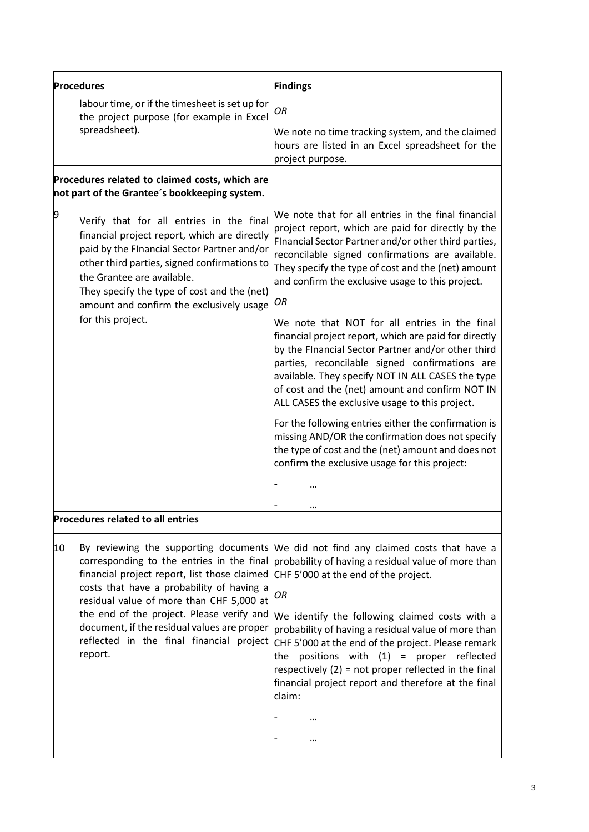| <b>Procedures</b>                                                                               |                                                                                                                                                                                                                                                                                                                                       | <b>Findings</b>                                                                                                                                                                                                                                                                                                                                                                                                                                                                                                                                                             |
|-------------------------------------------------------------------------------------------------|---------------------------------------------------------------------------------------------------------------------------------------------------------------------------------------------------------------------------------------------------------------------------------------------------------------------------------------|-----------------------------------------------------------------------------------------------------------------------------------------------------------------------------------------------------------------------------------------------------------------------------------------------------------------------------------------------------------------------------------------------------------------------------------------------------------------------------------------------------------------------------------------------------------------------------|
|                                                                                                 | labour time, or if the timesheet is set up for<br>the project purpose (for example in Excel<br>spreadsheet).                                                                                                                                                                                                                          | OR<br>We note no time tracking system, and the claimed<br>hours are listed in an Excel spreadsheet for the<br>project purpose.                                                                                                                                                                                                                                                                                                                                                                                                                                              |
| Procedures related to claimed costs, which are<br>not part of the Grantee's bookkeeping system. |                                                                                                                                                                                                                                                                                                                                       |                                                                                                                                                                                                                                                                                                                                                                                                                                                                                                                                                                             |
| 9                                                                                               | Verify that for all entries in the final<br>financial project report, which are directly<br>paid by the FInancial Sector Partner and/or<br>other third parties, signed confirmations to<br>the Grantee are available.<br>They specify the type of cost and the (net)<br>amount and confirm the exclusively usage<br>for this project. | We note that for all entries in the final financial<br>project report, which are paid for directly by the<br>Financial Sector Partner and/or other third parties,<br>reconcilable signed confirmations are available.<br>They specify the type of cost and the (net) amount<br>and confirm the exclusive usage to this project.<br>OR<br>We note that NOT for all entries in the final<br>financial project report, which are paid for directly<br>by the Financial Sector Partner and/or other third                                                                       |
|                                                                                                 |                                                                                                                                                                                                                                                                                                                                       | parties, reconcilable signed confirmations are<br>available. They specify NOT IN ALL CASES the type<br>of cost and the (net) amount and confirm NOT IN<br>ALL CASES the exclusive usage to this project.                                                                                                                                                                                                                                                                                                                                                                    |
|                                                                                                 |                                                                                                                                                                                                                                                                                                                                       | For the following entries either the confirmation is<br>missing AND/OR the confirmation does not specify<br>the type of cost and the (net) amount and does not<br>confirm the exclusive usage for this project:                                                                                                                                                                                                                                                                                                                                                             |
|                                                                                                 |                                                                                                                                                                                                                                                                                                                                       |                                                                                                                                                                                                                                                                                                                                                                                                                                                                                                                                                                             |
|                                                                                                 | <b>Procedures related to all entries</b>                                                                                                                                                                                                                                                                                              |                                                                                                                                                                                                                                                                                                                                                                                                                                                                                                                                                                             |
| 10                                                                                              | financial project report, list those claimed<br>costs that have a probability of having a<br>residual value of more than CHF 5,000 at<br>the end of the project. Please verify and<br>document, if the residual values are proper<br>reflected in the final financial project<br>report.                                              | By reviewing the supporting documents We did not find any claimed costs that have a<br>corresponding to the entries in the final probability of having a residual value of more than<br>CHF 5'000 at the end of the project.<br>OR<br>We identify the following claimed costs with a<br>probability of having a residual value of more than<br>CHF 5'000 at the end of the project. Please remark<br>the positions with $(1)$ = proper reflected<br>respectively $(2)$ = not proper reflected in the final<br>financial project report and therefore at the final<br>claim: |
|                                                                                                 |                                                                                                                                                                                                                                                                                                                                       | <br>                                                                                                                                                                                                                                                                                                                                                                                                                                                                                                                                                                        |